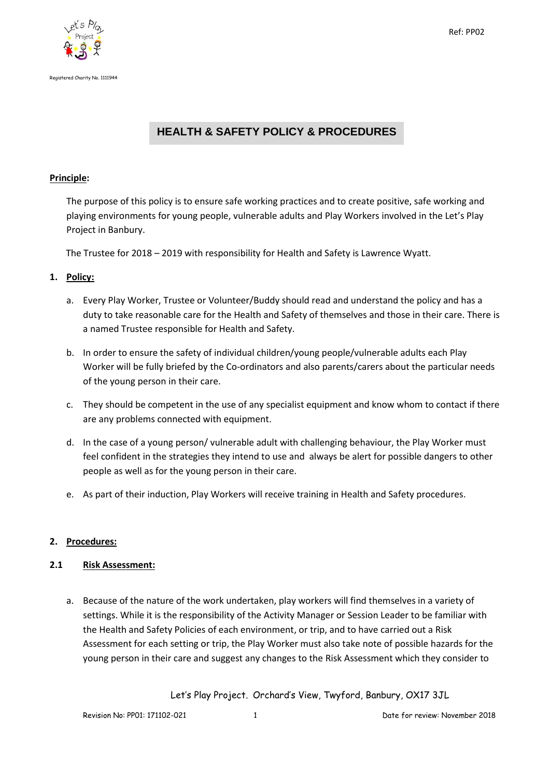



# **HEALTH & SAFETY POLICY & PROCEDURES**

#### **Principle:**

The purpose of this policy is to ensure safe working practices and to create positive, safe working and playing environments for young people, vulnerable adults and Play Workers involved in the Let's Play Project in Banbury.

The Trustee for 2018 – 2019 with responsibility for Health and Safety is Lawrence Wyatt.

## **1. Policy:**

- a. Every Play Worker, Trustee or Volunteer/Buddy should read and understand the policy and has a duty to take reasonable care for the Health and Safety of themselves and those in their care. There is a named Trustee responsible for Health and Safety.
- b. In order to ensure the safety of individual children/young people/vulnerable adults each Play Worker will be fully briefed by the Co-ordinators and also parents/carers about the particular needs of the young person in their care.
- c. They should be competent in the use of any specialist equipment and know whom to contact if there are any problems connected with equipment.
- d. In the case of a young person/ vulnerable adult with challenging behaviour, the Play Worker must feel confident in the strategies they intend to use and always be alert for possible dangers to other people as well as for the young person in their care.
- e. As part of their induction, Play Workers will receive training in Health and Safety procedures.

## **2. Procedures:**

#### **2.1 Risk Assessment:**

a. Because of the nature of the work undertaken, play workers will find themselves in a variety of settings. While it is the responsibility of the Activity Manager or Session Leader to be familiar with the Health and Safety Policies of each environment, or trip, and to have carried out a Risk Assessment for each setting or trip, the Play Worker must also take note of possible hazards for the young person in their care and suggest any changes to the Risk Assessment which they consider to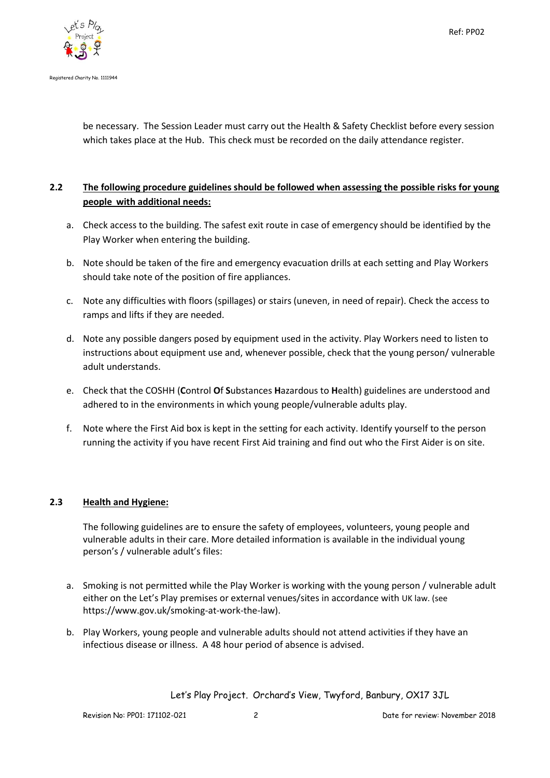

be necessary. The Session Leader must carry out the Health & Safety Checklist before every session which takes place at the Hub. This check must be recorded on the daily attendance register.

## **2.2 The following procedure guidelines should be followed when assessing the possible risks for young people with additional needs:**

- a. Check access to the building. The safest exit route in case of emergency should be identified by the Play Worker when entering the building.
- b. Note should be taken of the fire and emergency evacuation drills at each setting and Play Workers should take note of the position of fire appliances.
- c. Note any difficulties with floors (spillages) or stairs (uneven, in need of repair). Check the access to ramps and lifts if they are needed.
- d. Note any possible dangers posed by equipment used in the activity. Play Workers need to listen to instructions about equipment use and, whenever possible, check that the young person/ vulnerable adult understands.
- e. Check that the COSHH (**C**ontrol **O**f **S**ubstances **H**azardous to **H**ealth) guidelines are understood and adhered to in the environments in which young people/vulnerable adults play.
- f. Note where the First Aid box is kept in the setting for each activity. Identify yourself to the person running the activity if you have recent First Aid training and find out who the First Aider is on site.

## **2.3 Health and Hygiene:**

The following guidelines are to ensure the safety of employees, volunteers, young people and vulnerable adults in their care. More detailed information is available in the individual young person's / vulnerable adult's files:

- a. Smoking is not permitted while the Play Worker is working with the young person / vulnerable adult either on the Let's Play premises or external venues/sites in accordance with UK law. (see https://www.gov.uk/smoking-at-work-the-law).
- b. Play Workers, young people and vulnerable adults should not attend activities if they have an infectious disease or illness. A 48 hour period of absence is advised.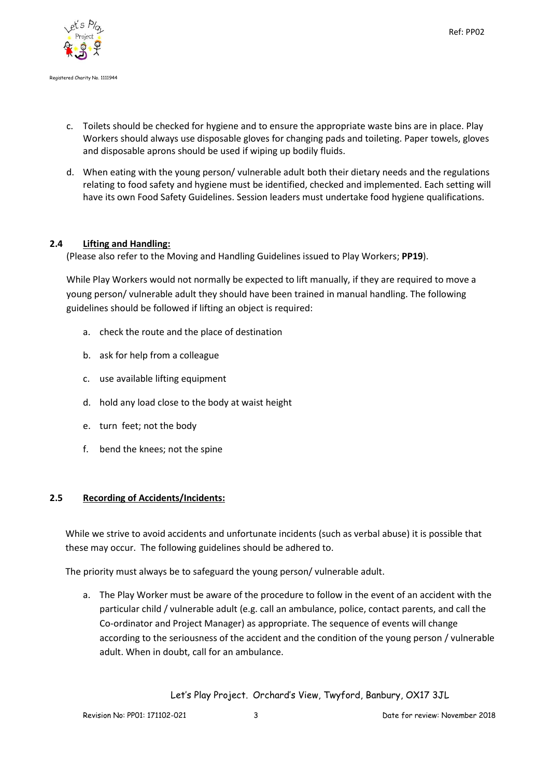

- c. Toilets should be checked for hygiene and to ensure the appropriate waste bins are in place. Play Workers should always use disposable gloves for changing pads and toileting. Paper towels, gloves and disposable aprons should be used if wiping up bodily fluids.
- d. When eating with the young person/ vulnerable adult both their dietary needs and the regulations relating to food safety and hygiene must be identified, checked and implemented. Each setting will have its own Food Safety Guidelines. Session leaders must undertake food hygiene qualifications.

## **2.4 Lifting and Handling:**

(Please also refer to the Moving and Handling Guidelines issued to Play Workers; **PP19**).

While Play Workers would not normally be expected to lift manually, if they are required to move a young person/ vulnerable adult they should have been trained in manual handling. The following guidelines should be followed if lifting an object is required:

- a. check the route and the place of destination
- b. ask for help from a colleague
- c. use available lifting equipment
- d. hold any load close to the body at waist height
- e. turn feet; not the body
- f. bend the knees; not the spine

#### **2.5 Recording of Accidents/Incidents:**

While we strive to avoid accidents and unfortunate incidents (such as verbal abuse) it is possible that these may occur. The following guidelines should be adhered to.

The priority must always be to safeguard the young person/ vulnerable adult.

a. The Play Worker must be aware of the procedure to follow in the event of an accident with the particular child / vulnerable adult (e.g. call an ambulance, police, contact parents, and call the Co-ordinator and Project Manager) as appropriate. The sequence of events will change according to the seriousness of the accident and the condition of the young person / vulnerable adult. When in doubt, call for an ambulance.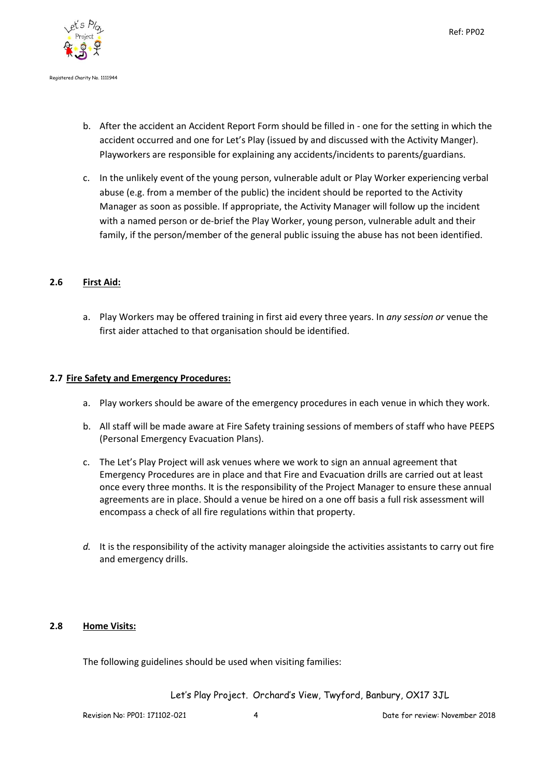



- b. After the accident an Accident Report Form should be filled in one for the setting in which the accident occurred and one for Let's Play (issued by and discussed with the Activity Manger). Playworkers are responsible for explaining any accidents/incidents to parents/guardians.
- c. In the unlikely event of the young person, vulnerable adult or Play Worker experiencing verbal abuse (e.g. from a member of the public) the incident should be reported to the Activity Manager as soon as possible. If appropriate, the Activity Manager will follow up the incident with a named person or de-brief the Play Worker, young person, vulnerable adult and their family, if the person/member of the general public issuing the abuse has not been identified.

## **2.6 First Aid:**

a. Play Workers may be offered training in first aid every three years. In *any session or* venue the first aider attached to that organisation should be identified.

## **2.7 Fire Safety and Emergency Procedures:**

- a. Play workers should be aware of the emergency procedures in each venue in which they work.
- b. All staff will be made aware at Fire Safety training sessions of members of staff who have PEEPS (Personal Emergency Evacuation Plans).
- c. The Let's Play Project will ask venues where we work to sign an annual agreement that Emergency Procedures are in place and that Fire and Evacuation drills are carried out at least once every three months. It is the responsibility of the Project Manager to ensure these annual agreements are in place. Should a venue be hired on a one off basis a full risk assessment will encompass a check of all fire regulations within that property.
- *d.* It is the responsibility of the activity manager aloingside the activities assistants to carry out fire and emergency drills.

## **2.8 Home Visits:**

The following guidelines should be used when visiting families: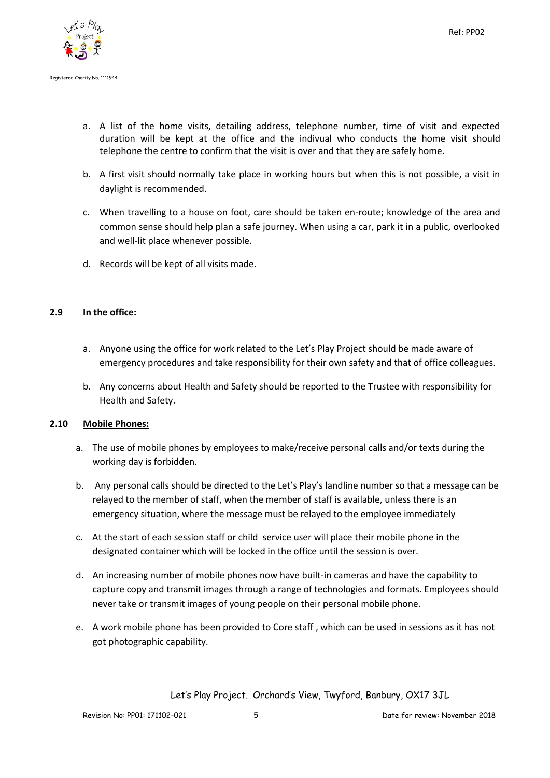

- a. A list of the home visits, detailing address, telephone number, time of visit and expected duration will be kept at the office and the indivual who conducts the home visit should telephone the centre to confirm that the visit is over and that they are safely home.
- b. A first visit should normally take place in working hours but when this is not possible, a visit in daylight is recommended.
- c. When travelling to a house on foot, care should be taken en-route; knowledge of the area and common sense should help plan a safe journey. When using a car, park it in a public, overlooked and well-lit place whenever possible.
- d. Records will be kept of all visits made.

## **2.9 In the office:**

- a. Anyone using the office for work related to the Let's Play Project should be made aware of emergency procedures and take responsibility for their own safety and that of office colleagues.
- b. Any concerns about Health and Safety should be reported to the Trustee with responsibility for Health and Safety.

#### **2.10 Mobile Phones:**

- a. The use of mobile phones by employees to make/receive personal calls and/or texts during the working day is forbidden.
- b. Any personal calls should be directed to the Let's Play's landline number so that a message can be relayed to the member of staff, when the member of staff is available, unless there is an emergency situation, where the message must be relayed to the employee immediately
- c. At the start of each session staff or child service user will place their mobile phone in the designated container which will be locked in the office until the session is over.
- d. An increasing number of mobile phones now have built-in cameras and have the capability to capture copy and transmit images through a range of technologies and formats. Employees should never take or transmit images of young people on their personal mobile phone.
- e. A work mobile phone has been provided to Core staff , which can be used in sessions as it has not got photographic capability.